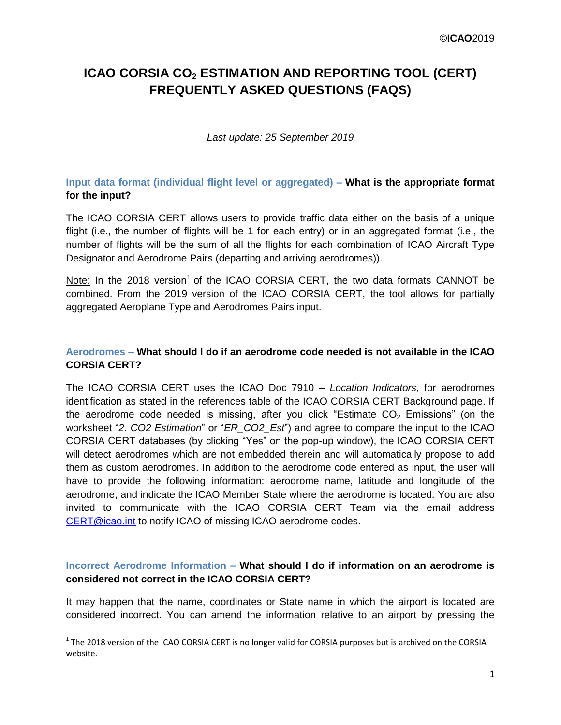# **ICAO CORSIA CO<sup>2</sup> ESTIMATION AND REPORTING TOOL (CERT) FREQUENTLY ASKED QUESTIONS (FAQS)**

#### *Last update: 25 September 2019*

# **Input data format (individual flight level or aggregated) – What is the appropriate format for the input?**

The ICAO CORSIA CERT allows users to provide traffic data either on the basis of a unique flight (i.e., the number of flights will be 1 for each entry) or in an aggregated format (i.e., the number of flights will be the sum of all the flights for each combination of ICAO Aircraft Type Designator and Aerodrome Pairs (departing and arriving aerodromes)).

Note: In the 2018 version<sup>1</sup> of the ICAO CORSIA CERT, the two data formats CANNOT be combined. From the 2019 version of the ICAO CORSIA CERT, the tool allows for partially aggregated Aeroplane Type and Aerodromes Pairs input.

#### **Aerodromes – What should I do if an aerodrome code needed is not available in the ICAO CORSIA CERT?**

The ICAO CORSIA CERT uses the ICAO Doc 7910 – *Location Indicators*, for aerodromes identification as stated in the references table of the ICAO CORSIA CERT Background page. If the aerodrome code needed is missing, after you click "Estimate  $CO<sub>2</sub>$  Emissions" (on the worksheet "*2. CO2 Estimation*" or "*ER\_CO2\_Est*") and agree to compare the input to the ICAO CORSIA CERT databases (by clicking "Yes" on the pop-up window), the ICAO CORSIA CERT will detect aerodromes which are not embedded therein and will automatically propose to add them as custom aerodromes. In addition to the aerodrome code entered as input, the user will have to provide the following information: aerodrome name, latitude and longitude of the aerodrome, and indicate the ICAO Member State where the aerodrome is located. You are also invited to communicate with the ICAO CORSIA CERT Team via the email address [CERT@icao.int](mailto:CERT@icao.int) to notify ICAO of missing ICAO aerodrome codes.

### **Incorrect Aerodrome Information – What should I do if information on an aerodrome is considered not correct in the ICAO CORSIA CERT?**

It may happen that the name, coordinates or State name in which the airport is located are considered incorrect. You can amend the information relative to an airport by pressing the

l

 $^1$  The 2018 version of the ICAO CORSIA CERT is no longer valid for CORSIA purposes but is archived on the CORSIA website.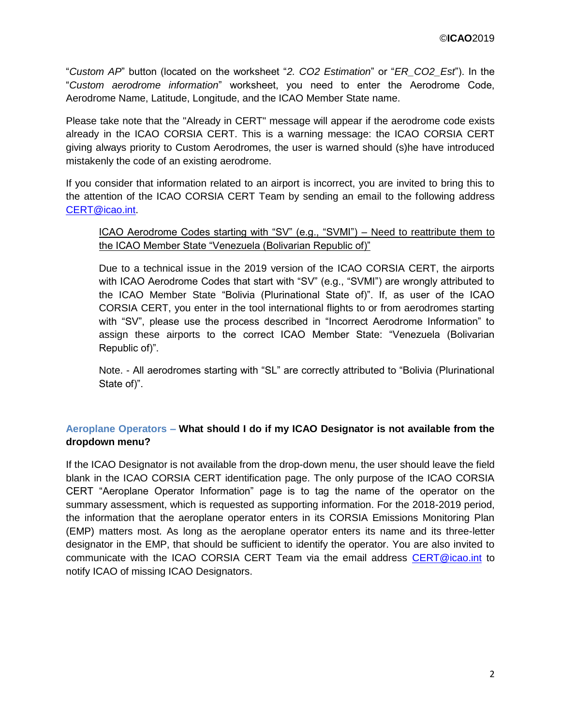"*Custom AP*" button (located on the worksheet "*2. CO2 Estimation*" or "*ER\_CO2\_Est*"). In the "*Custom aerodrome information*" worksheet, you need to enter the Aerodrome Code, Aerodrome Name, Latitude, Longitude, and the ICAO Member State name.

Please take note that the "Already in CERT" message will appear if the aerodrome code exists already in the ICAO CORSIA CERT. This is a warning message: the ICAO CORSIA CERT giving always priority to Custom Aerodromes, the user is warned should (s)he have introduced mistakenly the code of an existing aerodrome.

If you consider that information related to an airport is incorrect, you are invited to bring this to the attention of the ICAO CORSIA CERT Team by sending an email to the following address [CERT@icao.int.](mailto:CERT@icao.int)

#### ICAO Aerodrome Codes starting with "SV" (e.g., "SVMI") – Need to reattribute them to the ICAO Member State "Venezuela (Bolivarian Republic of)"

Due to a technical issue in the 2019 version of the ICAO CORSIA CERT, the airports with ICAO Aerodrome Codes that start with "SV" (e.g., "SVMI") are wrongly attributed to the ICAO Member State "Bolivia (Plurinational State of)". If, as user of the ICAO CORSIA CERT, you enter in the tool international flights to or from aerodromes starting with "SV", please use the process described in "Incorrect Aerodrome Information" to assign these airports to the correct ICAO Member State: "Venezuela (Bolivarian Republic of)".

Note. - All aerodromes starting with "SL" are correctly attributed to "Bolivia (Plurinational State of)".

### **Aeroplane Operators – What should I do if my ICAO Designator is not available from the dropdown menu?**

If the ICAO Designator is not available from the drop-down menu, the user should leave the field blank in the ICAO CORSIA CERT identification page. The only purpose of the ICAO CORSIA CERT "Aeroplane Operator Information" page is to tag the name of the operator on the summary assessment, which is requested as supporting information. For the 2018-2019 period, the information that the aeroplane operator enters in its CORSIA Emissions Monitoring Plan (EMP) matters most. As long as the aeroplane operator enters its name and its three-letter designator in the EMP, that should be sufficient to identify the operator. You are also invited to communicate with the ICAO CORSIA CERT Team via the email address [CERT@icao.int](mailto:CERT@icao.int) to notify ICAO of missing ICAO Designators.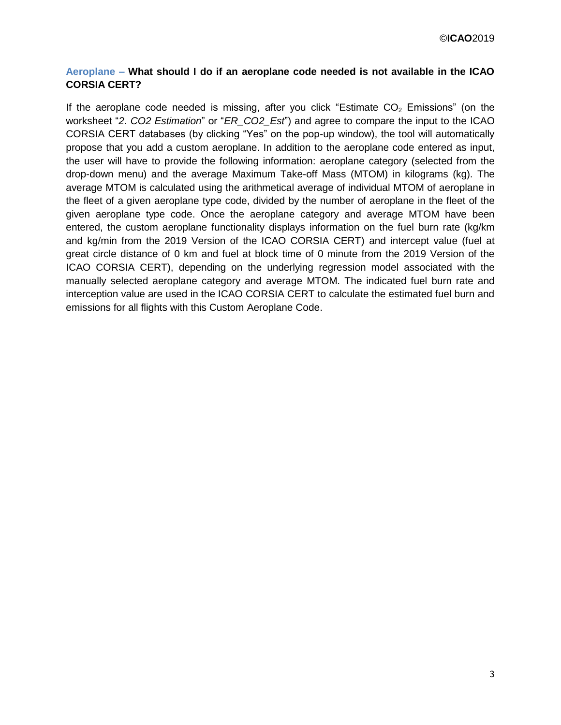# **Aeroplane – What should I do if an aeroplane code needed is not available in the ICAO CORSIA CERT?**

If the aeroplane code needed is missing, after you click "Estimate  $CO<sub>2</sub>$  Emissions" (on the worksheet "*2. CO2 Estimation*" or "*ER\_CO2\_Est*") and agree to compare the input to the ICAO CORSIA CERT databases (by clicking "Yes" on the pop-up window), the tool will automatically propose that you add a custom aeroplane. In addition to the aeroplane code entered as input, the user will have to provide the following information: aeroplane category (selected from the drop-down menu) and the average Maximum Take-off Mass (MTOM) in kilograms (kg). The average MTOM is calculated using the arithmetical average of individual MTOM of aeroplane in the fleet of a given aeroplane type code, divided by the number of aeroplane in the fleet of the given aeroplane type code. Once the aeroplane category and average MTOM have been entered, the custom aeroplane functionality displays information on the fuel burn rate (kg/km and kg/min from the 2019 Version of the ICAO CORSIA CERT) and intercept value (fuel at great circle distance of 0 km and fuel at block time of 0 minute from the 2019 Version of the ICAO CORSIA CERT), depending on the underlying regression model associated with the manually selected aeroplane category and average MTOM. The indicated fuel burn rate and interception value are used in the ICAO CORSIA CERT to calculate the estimated fuel burn and emissions for all flights with this Custom Aeroplane Code.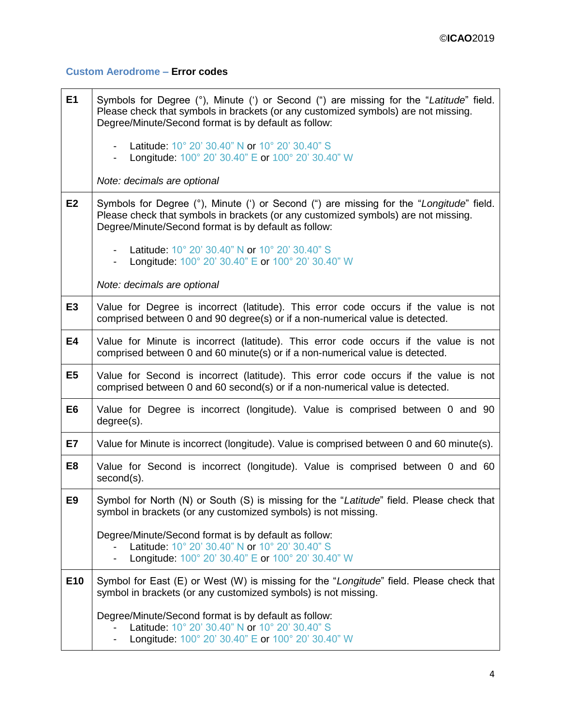## **Custom Aerodrome – Error codes**

| E1             | Symbols for Degree (°), Minute (') or Second (") are missing for the "Latitude" field.<br>Please check that symbols in brackets (or any customized symbols) are not missing.<br>Degree/Minute/Second format is by default as follow:  |
|----------------|---------------------------------------------------------------------------------------------------------------------------------------------------------------------------------------------------------------------------------------|
|                | Latitude: 10° 20' 30.40" N or 10° 20' 30.40" S<br>Longitude: 100° 20' 30.40" E or 100° 20' 30.40" W                                                                                                                                   |
|                | Note: decimals are optional                                                                                                                                                                                                           |
| E <sub>2</sub> | Symbols for Degree (°), Minute (') or Second (") are missing for the "Longitude" field.<br>Please check that symbols in brackets (or any customized symbols) are not missing.<br>Degree/Minute/Second format is by default as follow: |
|                | Latitude: 10° 20' 30.40" N or 10° 20' 30.40" S<br>- Longitude: 100° 20' 30.40" E or 100° 20' 30.40" W                                                                                                                                 |
|                | Note: decimals are optional                                                                                                                                                                                                           |
| E <sub>3</sub> | Value for Degree is incorrect (latitude). This error code occurs if the value is not<br>comprised between 0 and 90 degree(s) or if a non-numerical value is detected.                                                                 |
| <b>E4</b>      | Value for Minute is incorrect (latitude). This error code occurs if the value is not<br>comprised between 0 and 60 minute(s) or if a non-numerical value is detected.                                                                 |
| E <sub>5</sub> | Value for Second is incorrect (latitude). This error code occurs if the value is not<br>comprised between 0 and 60 second(s) or if a non-numerical value is detected.                                                                 |
| E <sub>6</sub> | Value for Degree is incorrect (longitude). Value is comprised between 0 and 90<br>degree(s).                                                                                                                                          |
| E7             | Value for Minute is incorrect (longitude). Value is comprised between 0 and 60 minute(s).                                                                                                                                             |
| E <sub>8</sub> | Value for Second is incorrect (longitude). Value is comprised between 0 and 60<br>second(s).                                                                                                                                          |
| E <sub>9</sub> | Symbol for North (N) or South (S) is missing for the "Latitude" field. Please check that<br>symbol in brackets (or any customized symbols) is not missing.                                                                            |
|                | Degree/Minute/Second format is by default as follow:<br>Latitude: 10° 20' 30.40" N or 10° 20' 30.40" S<br>Longitude: 100° 20' 30.40" E or 100° 20' 30.40" W                                                                           |
| E10            | Symbol for East (E) or West (W) is missing for the "Longitude" field. Please check that<br>symbol in brackets (or any customized symbols) is not missing.                                                                             |
|                | Degree/Minute/Second format is by default as follow:<br>Latitude: 10° 20' 30.40" N or 10° 20' 30.40" S<br>Longitude: 100° 20' 30.40" E or 100° 20' 30.40" W                                                                           |